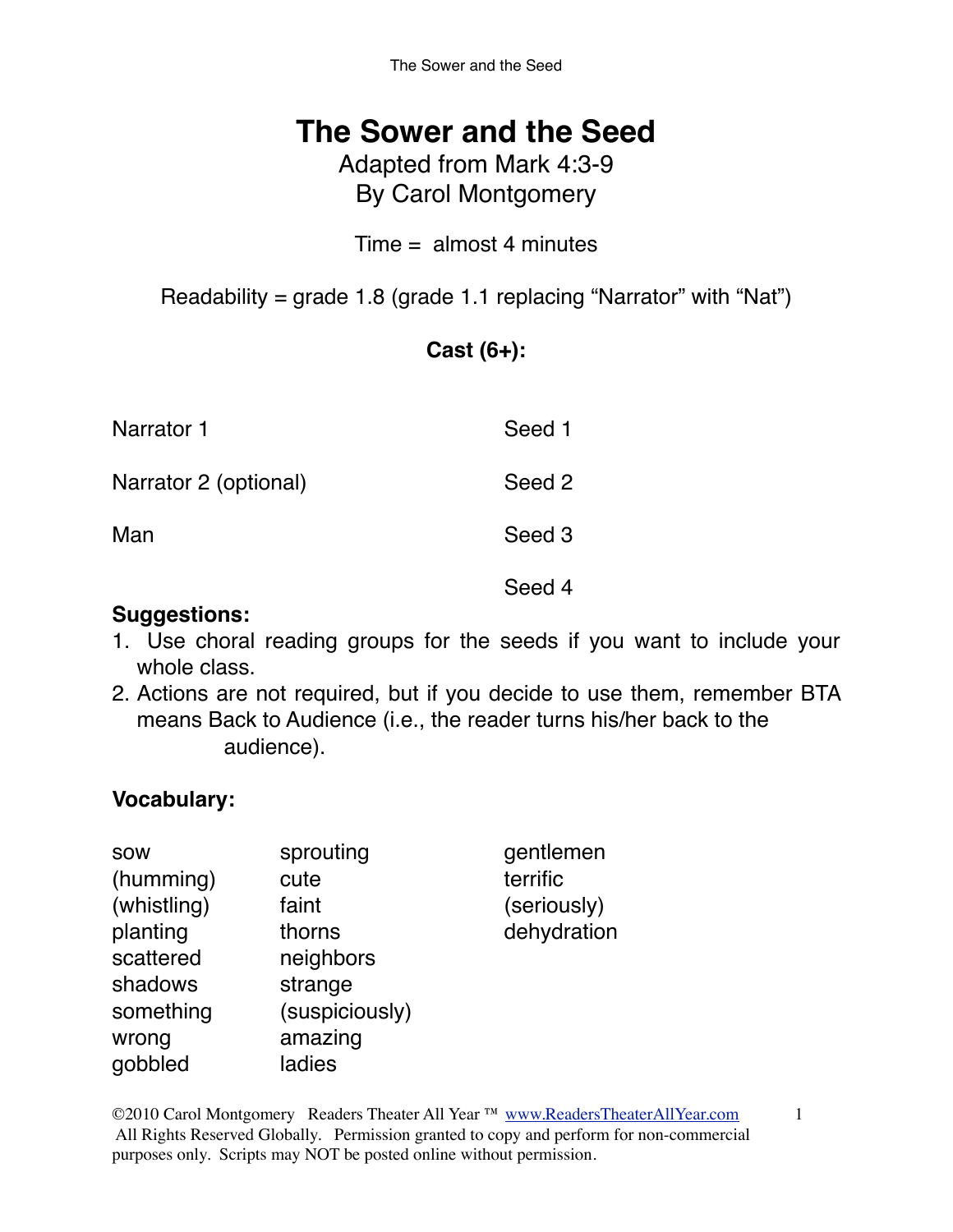# **The Sower and the Seed**

## Adapted from Mark 4:3-9 By Carol Montgomery

### Time = almost 4 minutes

Readability = grade 1.8 (grade 1.1 replacing "Narrator" with "Nat")

### **Cast (6+):**

| Narrator 1            | Seed 1 |
|-----------------------|--------|
| Narrator 2 (optional) | Seed 2 |
| Man                   | Seed 3 |
|                       | Seed 4 |

#### **Suggestions:**

- 1. Use choral reading groups for the seeds if you want to include your whole class.
- 2. Actions are not required, but if you decide to use them, remember BTA means Back to Audience (i.e., the reader turns his/her back to the audience).

### **Vocabulary:**

| <b>SOW</b>  | sprouting      | gentlemen   |
|-------------|----------------|-------------|
| (humming)   | cute           | terrific    |
| (whistling) | faint          | (seriously) |
| planting    | thorns         | dehydration |
| scattered   | neighbors      |             |
| shadows     | strange        |             |
| something   | (suspiciously) |             |
| wrong       | amazing        |             |
| gobbled     | ladies         |             |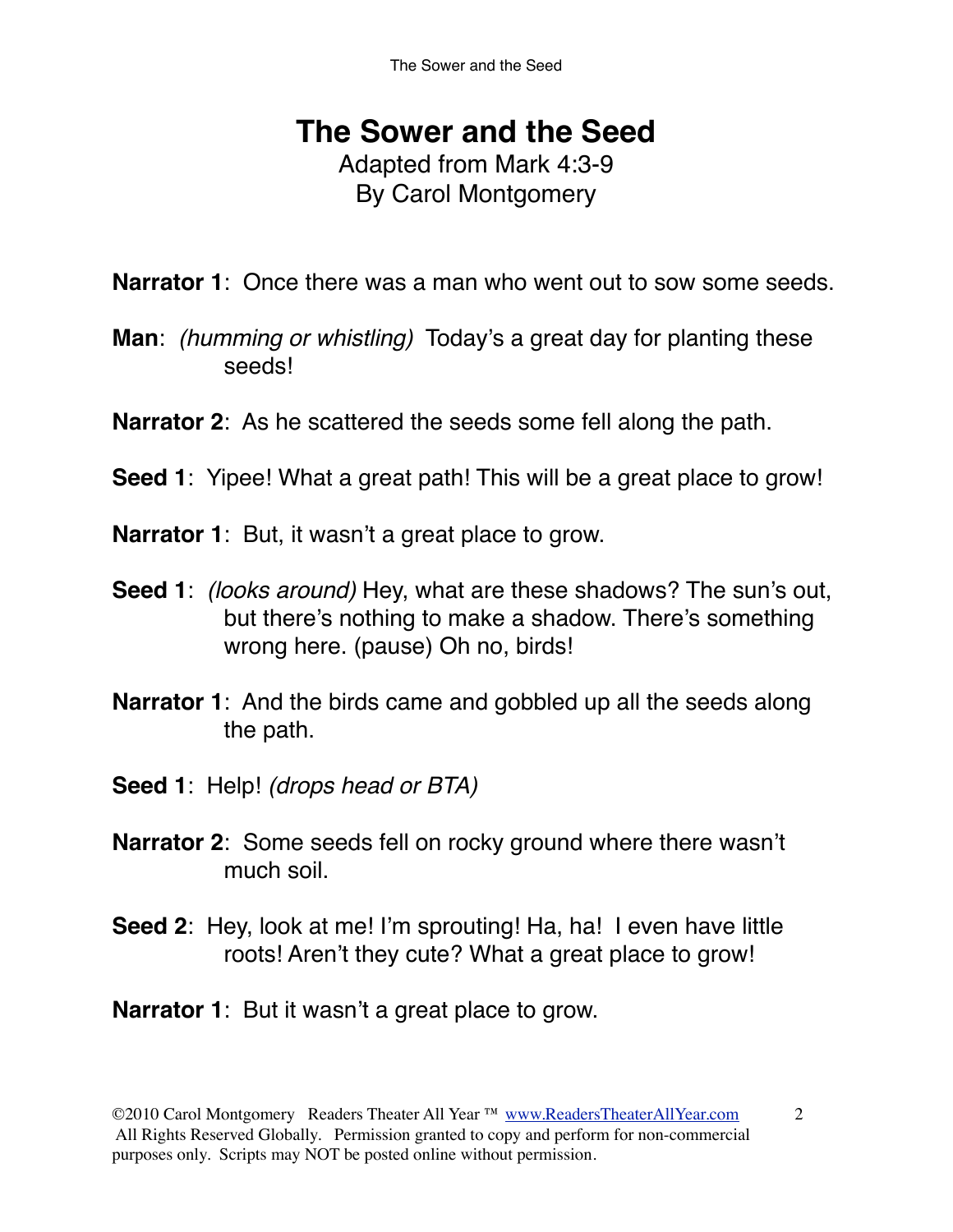# **The Sower and the Seed** Adapted from Mark 4:3-9

# By Carol Montgomery

**Narrator 1**: Once there was a man who went out to sow some seeds.

- **Man**: *(humming or whistling)* Today's a great day for planting these seeds!
- **Narrator 2**: As he scattered the seeds some fell along the path.
- **Seed 1**: Yipee! What a great path! This will be a great place to grow!
- **Narrator 1**: But, it wasn't a great place to grow.
- **Seed 1**: *(looks around)* Hey, what are these shadows? The sun's out, but there's nothing to make a shadow. There's something wrong here. (pause) Oh no, birds!
- **Narrator 1**: And the birds came and gobbled up all the seeds along the path.
- **Seed 1**: Help! *(drops head or BTA)*
- **Narrator 2**: Some seeds fell on rocky ground where there wasn't much soil.
- **Seed 2:** Hey, look at me! I'm sprouting! Ha, ha! I even have little roots! Aren't they cute? What a great place to grow!
- **Narrator 1**: But it wasn't a great place to grow.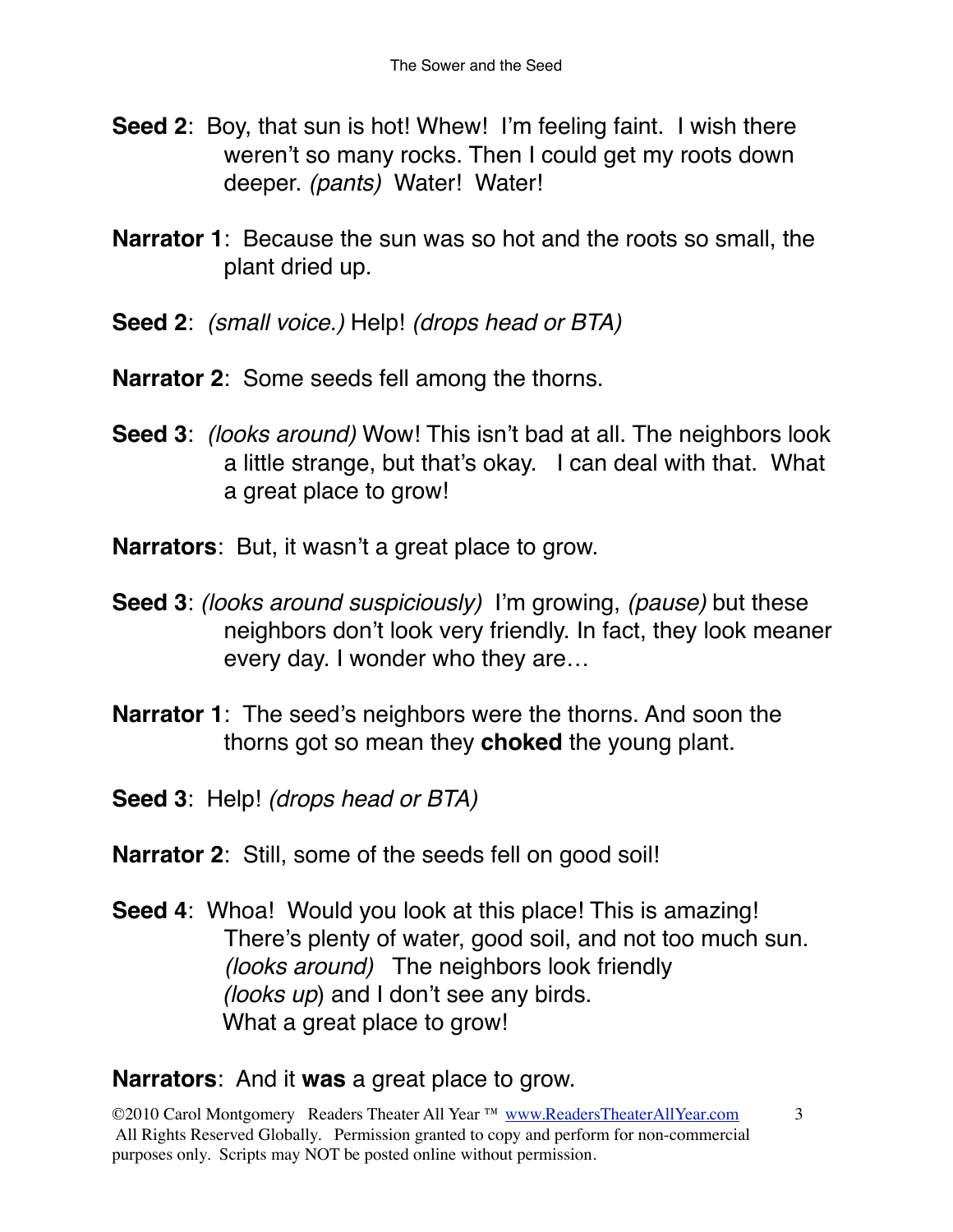- **Seed 2**: Boy, that sun is hot! Whew! I'm feeling faint. I wish there weren't so many rocks. Then I could get my roots down deeper. *(pants)* Water! Water!
- **Narrator 1**: Because the sun was so hot and the roots so small, the plant dried up.
- **Seed 2**: *(small voice.)* Help! *(drops head or BTA)*
- **Narrator 2**: Some seeds fell among the thorns.
- **Seed 3**: *(looks around)* Wow! This isn't bad at all. The neighbors look a little strange, but that's okay. I can deal with that. What a great place to grow!
- **Narrators**: But, it wasn't a great place to grow.
- **Seed 3**: *(looks around suspiciously)* I'm growing, *(pause)* but these neighbors don't look very friendly. In fact, they look meaner every day. I wonder who they are…
- **Narrator 1**: The seed's neighbors were the thorns. And soon the thorns got so mean they **choked** the young plant.
- **Seed 3**: Help! *(drops head or BTA)*
- **Narrator 2**: Still, some of the seeds fell on good soil!
- **Seed 4**: Whoa! Would you look at this place! This is amazing! There's plenty of water, good soil, and not too much sun. *(looks around)* The neighbors look friendly *(looks up*) and I don't see any birds. What a great place to grow!

### **Narrators**: And it **was** a great place to grow.

©2010 Carol Montgomery Readers Theater All Year ™ [www.ReadersTheaterAllYear.com](http://www.ReadersTheaterAllYear.com) 3 All Rights Reserved Globally. Permission granted to copy and perform for non-commercial purposes only. Scripts may NOT be posted online without permission.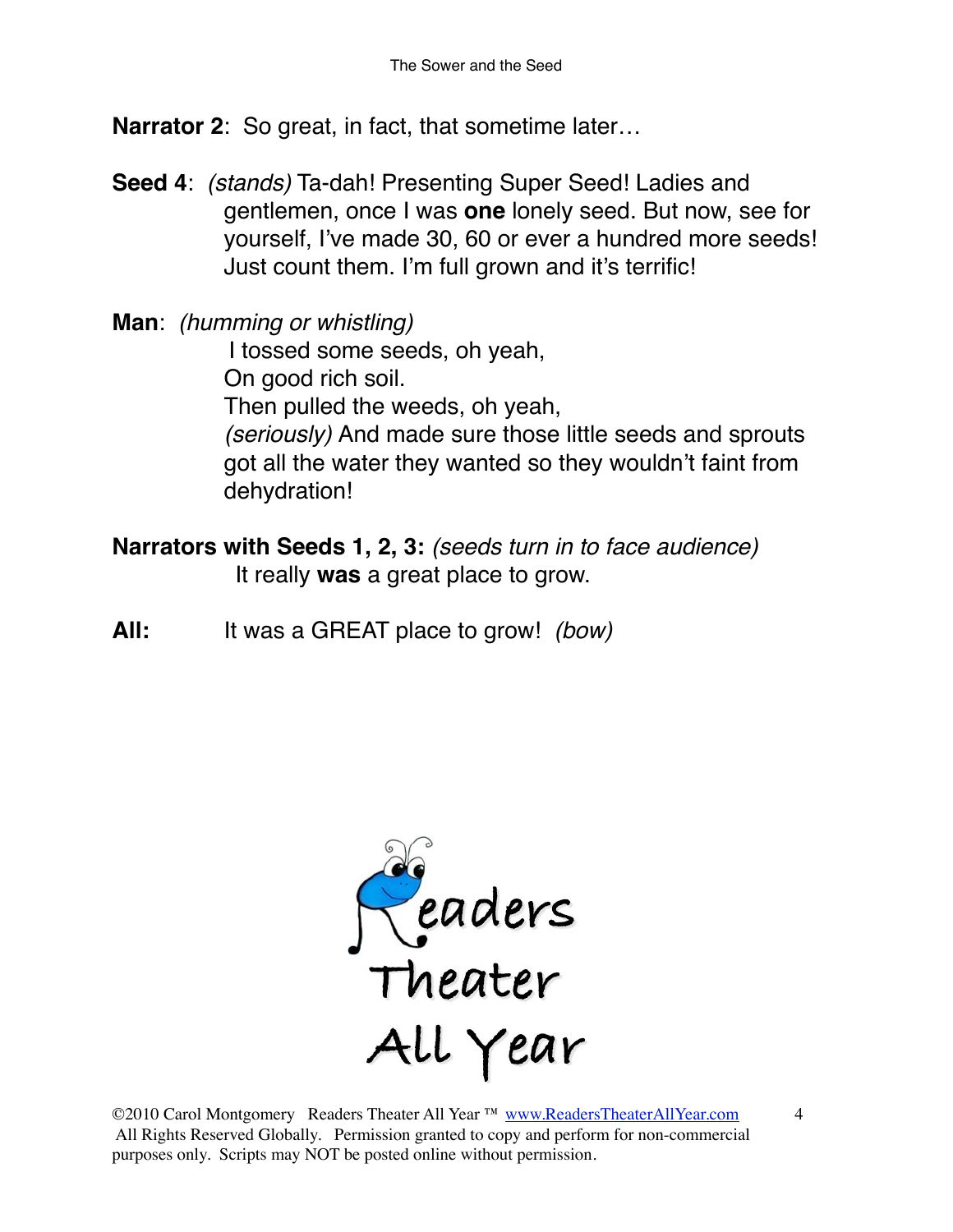**Narrator 2**: So great, in fact, that sometime later…

**Seed 4**: *(stands)* Ta-dah! Presenting Super Seed! Ladies and gentlemen, once I was **one** lonely seed. But now, see for yourself, I've made 30, 60 or ever a hundred more seeds! Just count them. I'm full grown and it's terrific!

**Man**: *(humming or whistling)*

 I tossed some seeds, oh yeah, On good rich soil. Then pulled the weeds, oh yeah, *(seriously)* And made sure those little seeds and sprouts got all the water they wanted so they wouldn't faint from dehydration!

**Narrators with Seeds 1, 2, 3:** *(seeds turn in to face audience)* It really **was** a great place to grow.

**All:** It was a GREAT place to grow! *(bow)*